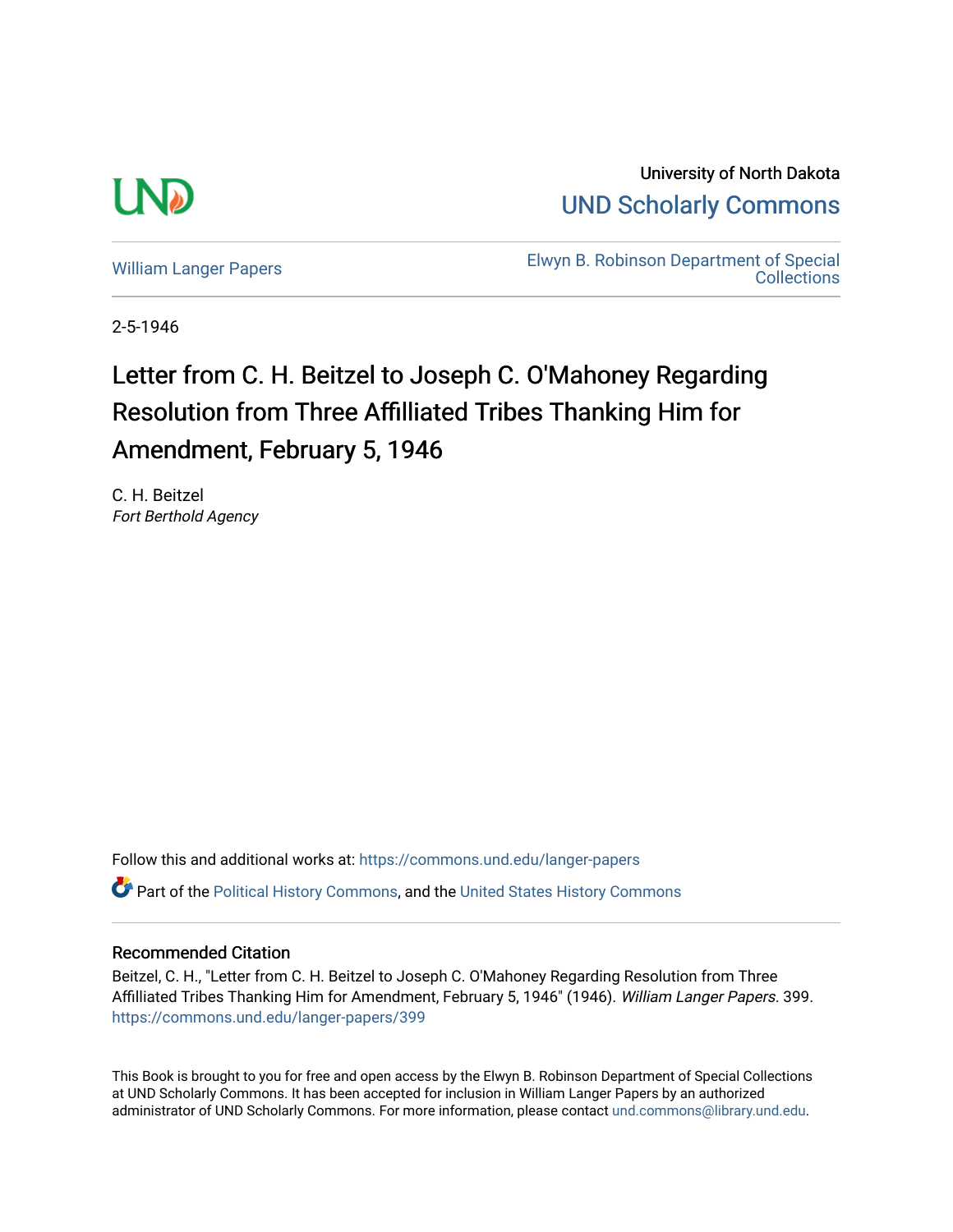

University of North Dakota [UND Scholarly Commons](https://commons.und.edu/) 

[William Langer Papers](https://commons.und.edu/langer-papers) **Elwyn B. Robinson Department of Special** [Collections](https://commons.und.edu/archives) 

2-5-1946

## Letter from C. H. Beitzel to Joseph C. O'Mahoney Regarding Resolution from Three Affilliated Tribes Thanking Him for Amendment, February 5, 1946

C. H. Beitzel Fort Berthold Agency

Follow this and additional works at: [https://commons.und.edu/langer-papers](https://commons.und.edu/langer-papers?utm_source=commons.und.edu%2Flanger-papers%2F399&utm_medium=PDF&utm_campaign=PDFCoverPages)  **C** Part of the [Political History Commons,](https://network.bepress.com/hgg/discipline/505?utm_source=commons.und.edu%2Flanger-papers%2F399&utm_medium=PDF&utm_campaign=PDFCoverPages) and the [United States History Commons](https://network.bepress.com/hgg/discipline/495?utm_source=commons.und.edu%2Flanger-papers%2F399&utm_medium=PDF&utm_campaign=PDFCoverPages)

## Recommended Citation

Beitzel, C. H., "Letter from C. H. Beitzel to Joseph C. O'Mahoney Regarding Resolution from Three Affilliated Tribes Thanking Him for Amendment, February 5, 1946" (1946). William Langer Papers. 399. [https://commons.und.edu/langer-papers/399](https://commons.und.edu/langer-papers/399?utm_source=commons.und.edu%2Flanger-papers%2F399&utm_medium=PDF&utm_campaign=PDFCoverPages) 

This Book is brought to you for free and open access by the Elwyn B. Robinson Department of Special Collections at UND Scholarly Commons. It has been accepted for inclusion in William Langer Papers by an authorized administrator of UND Scholarly Commons. For more information, please contact [und.commons@library.und.edu.](mailto:und.commons@library.und.edu)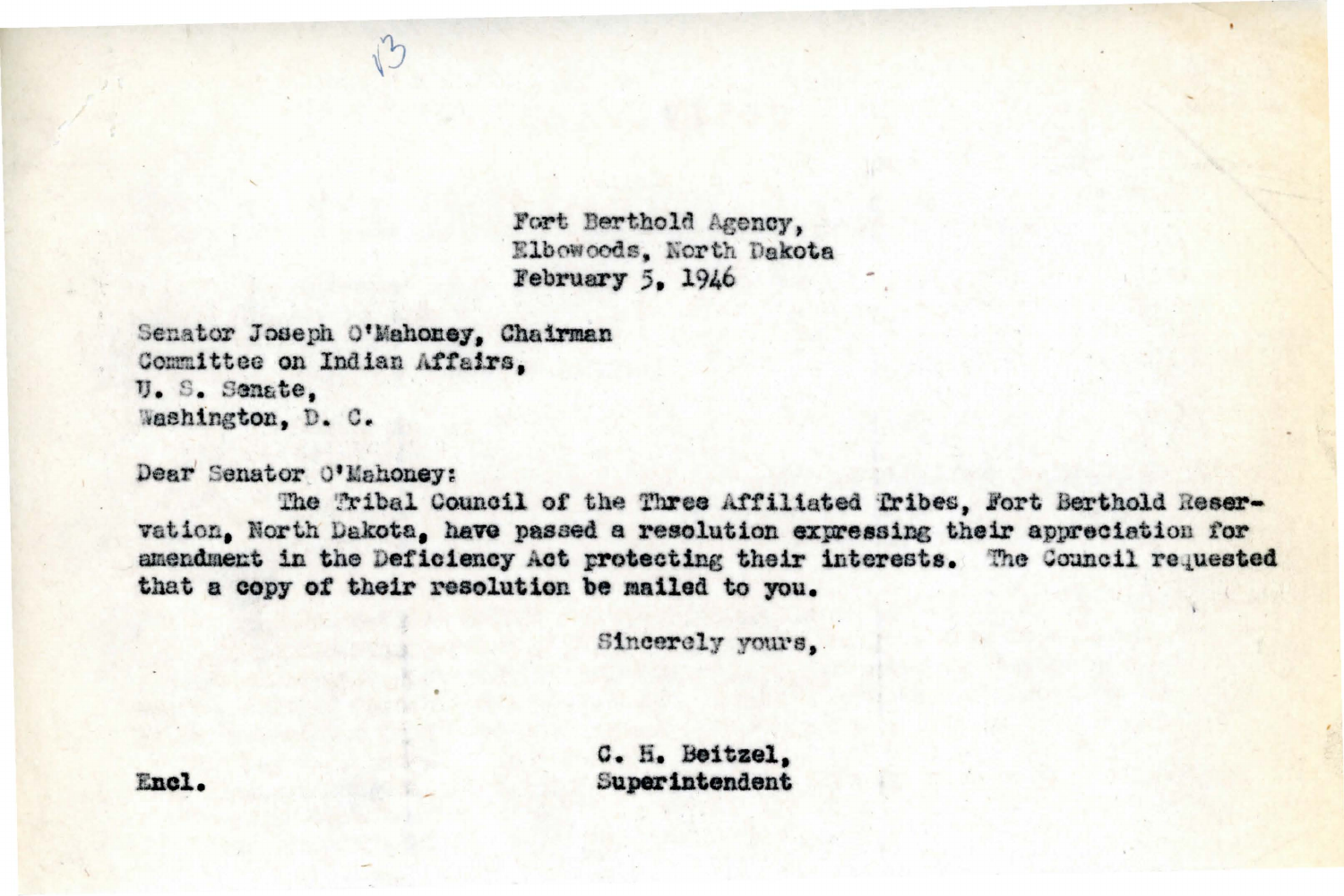Fort Berthold Agency. Elbowoods. North Dakota February 5. 1946

Senator Joseph O'Mahoney, Chairman Committee on Indian Affairs, U. S. Senate. Washington, D. C.

Dear Senator O'Mahoney:

The Tribal Council of the Three Affiliated Tribes, Fort Berthold Reservation, North Dakota, have passed a resolution expressing their appreciation for amendment in the Deficiency Act protecting their interests. The Council requested that a copy of their resolution be mailed to you.

Sincerely yours,

C. H. Beitzel, Superintendent

Encl.